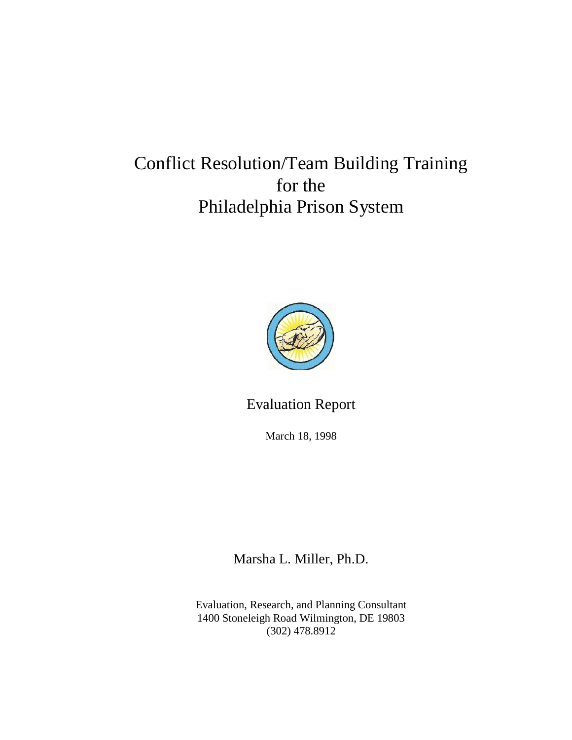# Conflict Resolution/Team Building Training for the Philadelphia Prison System



Evaluation Report

March 18, 1998

Marsha L. Miller, Ph.D.

Evaluation, Research, and Planning Consultant 1400 Stoneleigh Road Wilmington, DE 19803 (302) 478.8912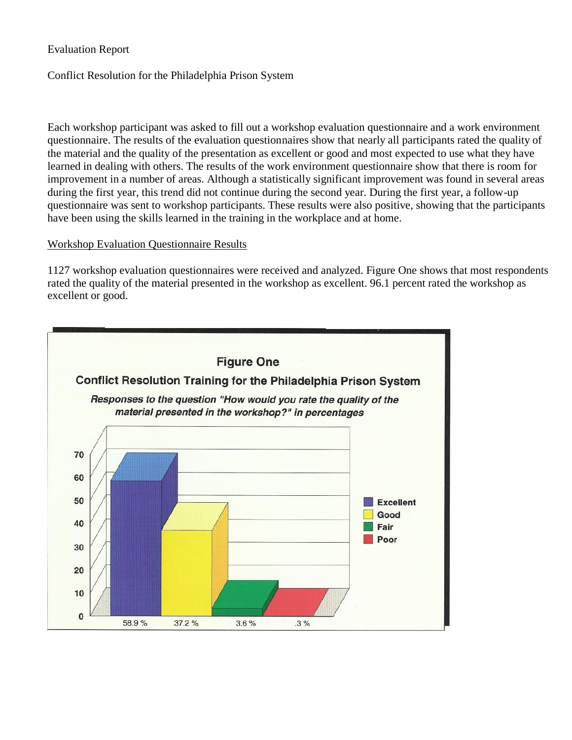Evaluation Report

Conflict Resolution for the Philadelphia Prison System

Each workshop participant was asked to fill out a workshop evaluation questionnaire and a work environment questionnaire. The results of the evaluation questionnaires show that nearly all participants rated the quality of the material and the quality of the presentation as excellent or good and most expected to use what they have learned in dealing with others. The results of the work environment questionnaire show that there is room for improvement in a number of areas. Although a statistically significant improvement was found in several areas during the first year, this trend did not continue during the second year. During the first year, a follow-up questionnaire was sent to workshop participants. These results were also positive, showing that the participants have been using the skills learned in the training in the workplace and at home.

## Workshop Evaluation Questionnaire Results

1127 workshop evaluation questionnaires were received and analyzed. Figure One shows that most respondents rated the quality of the material presented in the workshop as excellent. 96.1 percent rated the workshop as excellent or good.

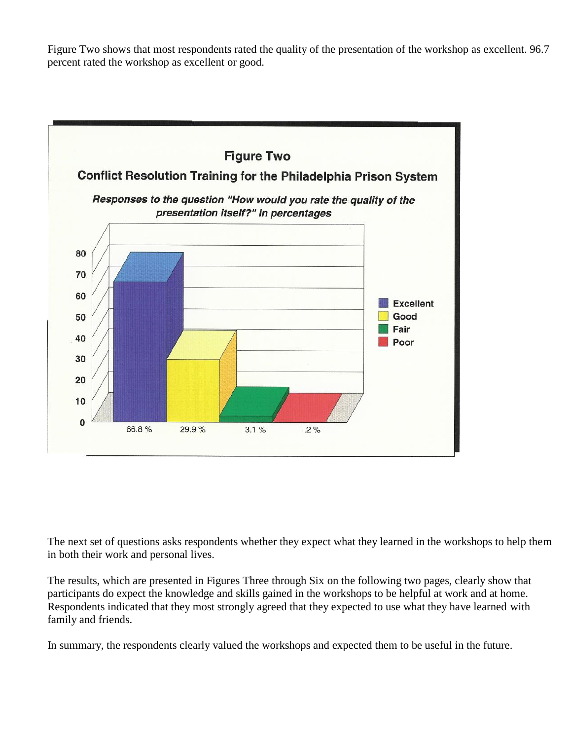Figure Two shows that most respondents rated the quality of the presentation of the workshop as excellent. 96.7 percent rated the workshop as excellent or good.



The next set of questions asks respondents whether they expect what they learned in the workshops to help them in both their work and personal lives.

The results, which are presented in Figures Three through Six on the following two pages, clearly show that participants do expect the knowledge and skills gained in the workshops to be helpful at work and at home. Respondents indicated that they most strongly agreed that they expected to use what they have learned with family and friends.

In summary, the respondents clearly valued the workshops and expected them to be useful in the future.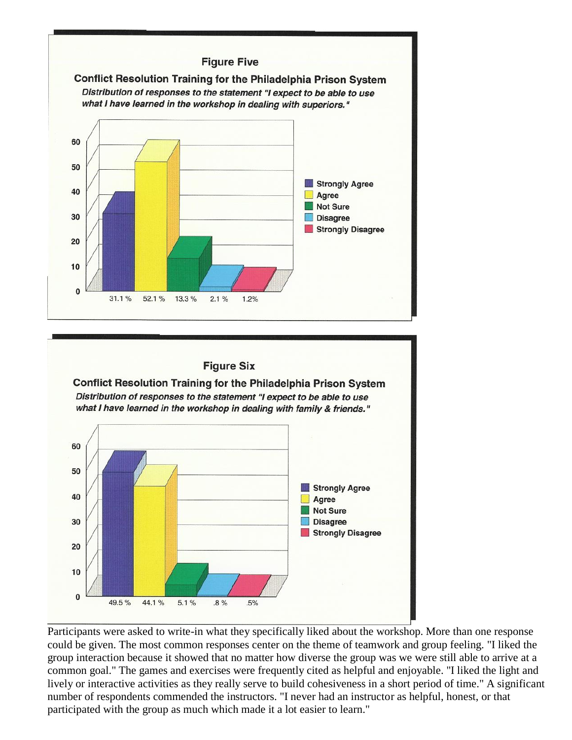

## **Figure Six**

Conflict Resolution Training for the Philadelphia Prison System Distribution of responses to the statement "I expect to be able to use what I have learned in the workshop in dealing with family & friends."



Participants were asked to write-in what they specifically liked about the workshop. More than one response could be given. The most common responses center on the theme of teamwork and group feeling. "I liked the group interaction because it showed that no matter how diverse the group was we were still able to arrive at a common goal." The games and exercises were frequently cited as helpful and enjoyable. "I liked the light and lively or interactive activities as they really serve to build cohesiveness in a short period of time." A significant number of respondents commended the instructors. "I never had an instructor as helpful, honest, or that participated with the group as much which made it a lot easier to learn."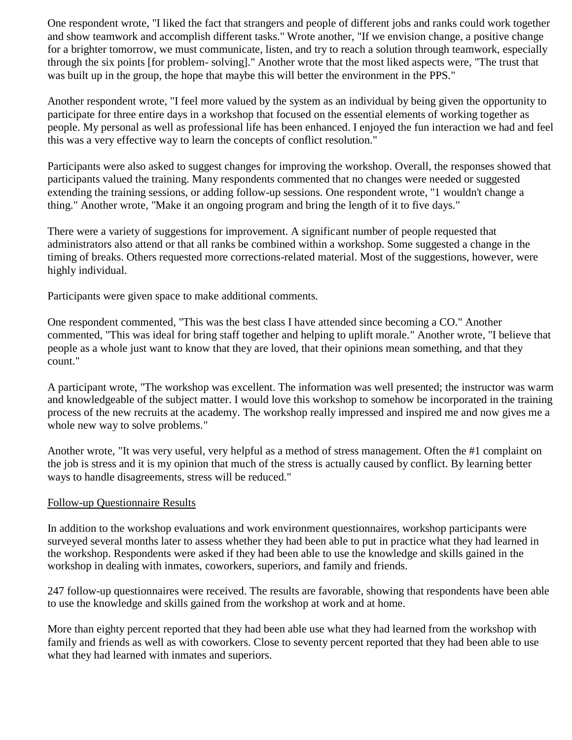One respondent wrote, "I liked the fact that strangers and people of different jobs and ranks could work together and show teamwork and accomplish different tasks." Wrote another, "If we envision change, a positive change for a brighter tomorrow, we must communicate, listen, and try to reach a solution through teamwork, especially through the six points [for problem- solving]." Another wrote that the most liked aspects were, "The trust that was built up in the group, the hope that maybe this will better the environment in the PPS."

Another respondent wrote, "I feel more valued by the system as an individual by being given the opportunity to participate for three entire days in a workshop that focused on the essential elements of working together as people. My personal as well as professional life has been enhanced. I enjoyed the fun interaction we had and feel this was a very effective way to learn the concepts of conflict resolution."

Participants were also asked to suggest changes for improving the workshop. Overall, the responses showed that participants valued the training. Many respondents commented that no changes were needed or suggested extending the training sessions, or adding follow-up sessions. One respondent wrote, "1 wouldn't change a thing." Another wrote, "Make it an ongoing program and bring the length of it to five days."

There were a variety of suggestions for improvement. A significant number of people requested that administrators also attend or that all ranks be combined within a workshop. Some suggested a change in the timing of breaks. Others requested more corrections-related material. Most of the suggestions, however, were highly individual.

Participants were given space to make additional comments.

One respondent commented, "This was the best class I have attended since becoming a CO." Another commented, "This was ideal for bring staff together and helping to uplift morale." Another wrote, "I believe that people as a whole just want to know that they are loved, that their opinions mean something, and that they count."

A participant wrote, "The workshop was excellent. The information was well presented; the instructor was warm and knowledgeable of the subject matter. I would love this workshop to somehow be incorporated in the training process of the new recruits at the academy. The workshop really impressed and inspired me and now gives me a whole new way to solve problems."

Another wrote, "It was very useful, very helpful as a method of stress management. Often the #1 complaint on the job is stress and it is my opinion that much of the stress is actually caused by conflict. By learning better ways to handle disagreements, stress will be reduced."

#### Follow-up Questionnaire Results

In addition to the workshop evaluations and work environment questionnaires, workshop participants were surveyed several months later to assess whether they had been able to put in practice what they had learned in the workshop. Respondents were asked if they had been able to use the knowledge and skills gained in the workshop in dealing with inmates, coworkers, superiors, and family and friends.

247 follow-up questionnaires were received. The results are favorable, showing that respondents have been able to use the knowledge and skills gained from the workshop at work and at home.

More than eighty percent reported that they had been able use what they had learned from the workshop with family and friends as well as with coworkers. Close to seventy percent reported that they had been able to use what they had learned with inmates and superiors.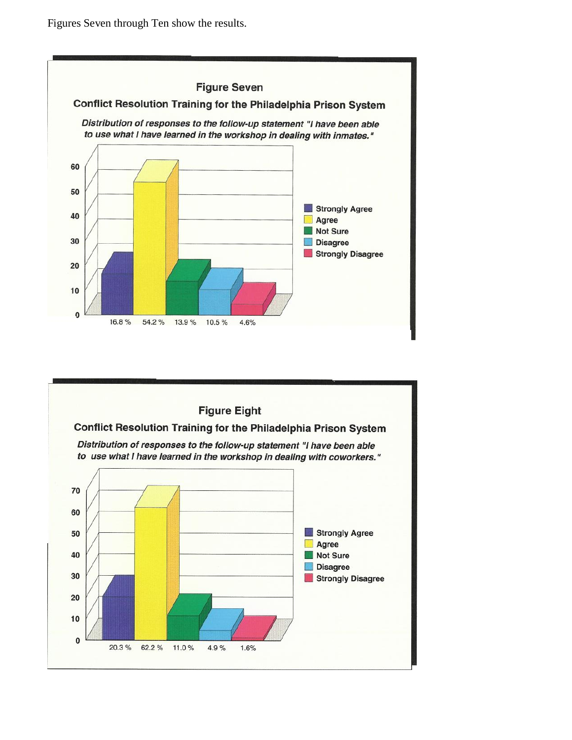Figures Seven through Ten show the results.



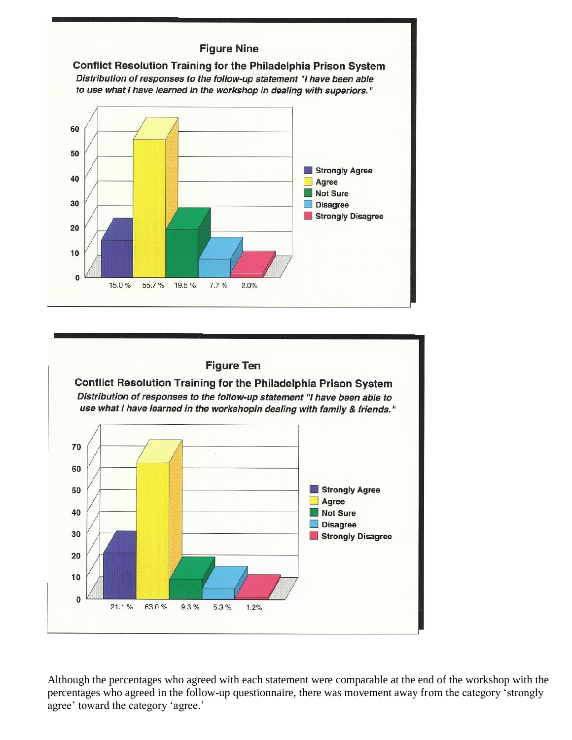### **Figure Nine**



# **Figure Ten**

 $2.0%$ 

 $7.7%$ 

 $\mathbf{0}$ 

15.0%

55.7%

19.5%

Conflict Resolution Training for the Philadelphia Prison System Distribution of responses to the follow-up statement "I have been able to use what I have learned in the workshopin dealing with family & friends."



Although the percentages who agreed with each statement were comparable at the end of the workshop with the percentages who agreed in the follow-up questionnaire, there was movement away from the category 'strongly agree' toward the category 'agree.'